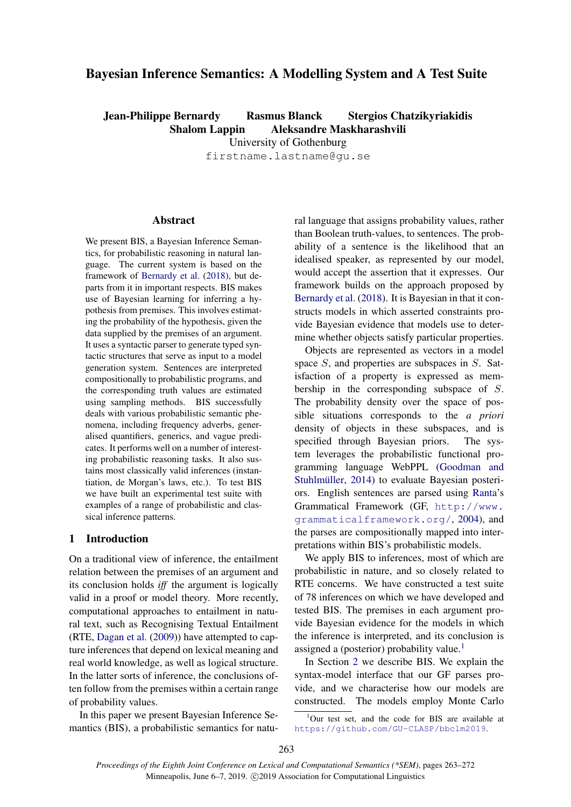# Bayesian Inference Semantics: A Modelling System and A Test Suite

Jean-Philippe Bernardy Rasmus Blanck Stergios Chatzikyriakidis Shalom Lappin Aleksandre Maskharashvili University of Gothenburg firstname.lastname@gu.se

**Abstract** 

We present BIS, a Bayesian Inference Semantics, for probabilistic reasoning in natural language. The current system is based on the framework of [Bernardy et al.](#page-8-0) [\(2018\)](#page-8-0), but departs from it in important respects. BIS makes use of Bayesian learning for inferring a hypothesis from premises. This involves estimating the probability of the hypothesis, given the data supplied by the premises of an argument. It uses a syntactic parser to generate typed syntactic structures that serve as input to a model generation system. Sentences are interpreted compositionally to probabilistic programs, and the corresponding truth values are estimated using sampling methods. BIS successfully deals with various probabilistic semantic phenomena, including frequency adverbs, generalised quantifiers, generics, and vague predicates. It performs well on a number of interesting probabilistic reasoning tasks. It also sustains most classically valid inferences (instantiation, de Morgan's laws, etc.). To test BIS we have built an experimental test suite with examples of a range of probabilistic and classical inference patterns.

# 1 Introduction

On a traditional view of inference, the entailment relation between the premises of an argument and its conclusion holds *iff* the argument is logically valid in a proof or model theory. More recently, computational approaches to entailment in natural text, such as Recognising Textual Entailment (RTE, [Dagan et al.](#page-8-1) [\(2009\)](#page-8-1)) have attempted to capture inferences that depend on lexical meaning and real world knowledge, as well as logical structure. In the latter sorts of inference, the conclusions often follow from the premises within a certain range of probability values.

In this paper we present Bayesian Inference Semantics (BIS), a probabilistic semantics for natural language that assigns probability values, rather than Boolean truth-values, to sentences. The probability of a sentence is the likelihood that an idealised speaker, as represented by our model, would accept the assertion that it expresses. Our framework builds on the approach proposed by [Bernardy et al.](#page-8-0) [\(2018\)](#page-8-0). It is Bayesian in that it constructs models in which asserted constraints provide Bayesian evidence that models use to determine whether objects satisfy particular properties.

Objects are represented as vectors in a model space S, and properties are subspaces in S. Satisfaction of a property is expressed as membership in the corresponding subspace of S. The probability density over the space of possible situations corresponds to the *a priori* density of objects in these subspaces, and is specified through Bayesian priors. The system leverages the probabilistic functional programming language WebPPL [\(Goodman and](#page-9-0) Stuhlmüller, [2014\)](#page-9-0) to evaluate Bayesian posteriors. English sentences are parsed using [Ranta'](#page-9-1)s Grammatical Framework (GF, [http://www.](http://www.grammaticalframework.org/) [grammaticalframework.org/](http://www.grammaticalframework.org/), [2004\)](#page-9-1), and the parses are compositionally mapped into interpretations within BIS's probabilistic models.

We apply BIS to inferences, most of which are probabilistic in nature, and so closely related to RTE concerns. We have constructed a test suite of 78 inferences on which we have developed and tested BIS. The premises in each argument provide Bayesian evidence for the models in which the inference is interpreted, and its conclusion is assigned a (posterior) probability value.<sup>[1](#page-0-0)</sup>

In Section [2](#page-1-0) we describe BIS. We explain the syntax-model interface that our GF parses provide, and we characterise how our models are constructed. The models employ Monte Carlo

<span id="page-0-0"></span> $1$ Our test set, and the code for BIS are available at <https://github.com/GU-CLASP/bbclm2019>.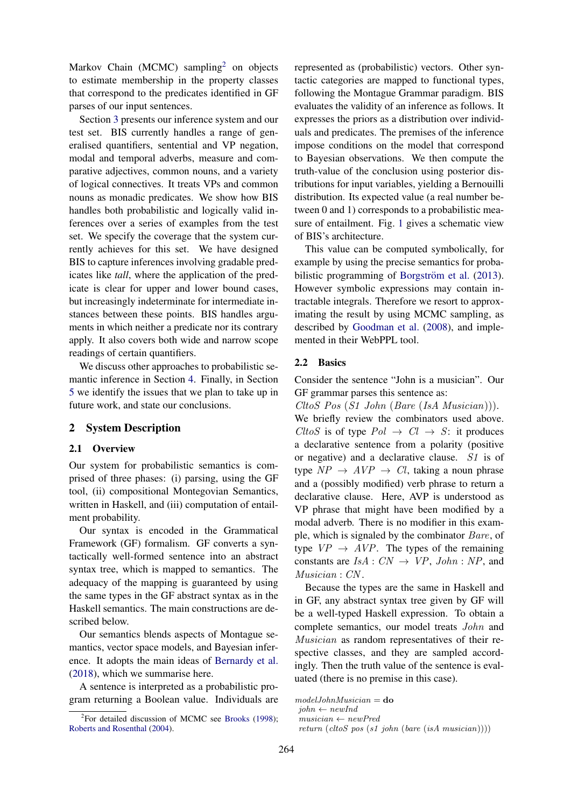Markov Chain (MCMC) sampling<sup>[2](#page-1-1)</sup> on objects to estimate membership in the property classes that correspond to the predicates identified in GF parses of our input sentences.

Section [3](#page-3-0) presents our inference system and our test set. BIS currently handles a range of generalised quantifiers, sentential and VP negation, modal and temporal adverbs, measure and comparative adjectives, common nouns, and a variety of logical connectives. It treats VPs and common nouns as monadic predicates. We show how BIS handles both probabilistic and logically valid inferences over a series of examples from the test set. We specify the coverage that the system currently achieves for this set. We have designed BIS to capture inferences involving gradable predicates like *tall*, where the application of the predicate is clear for upper and lower bound cases, but increasingly indeterminate for intermediate instances between these points. BIS handles arguments in which neither a predicate nor its contrary apply. It also covers both wide and narrow scope readings of certain quantifiers.

We discuss other approaches to probabilistic semantic inference in Section [4.](#page-6-0) Finally, in Section [5](#page-7-0) we identify the issues that we plan to take up in future work, and state our conclusions.

# <span id="page-1-0"></span>2 System Description

## 2.1 Overview

Our system for probabilistic semantics is comprised of three phases: (i) parsing, using the GF tool, (ii) compositional Montegovian Semantics, written in Haskell, and (iii) computation of entailment probability.

Our syntax is encoded in the Grammatical Framework (GF) formalism. GF converts a syntactically well-formed sentence into an abstract syntax tree, which is mapped to semantics. The adequacy of the mapping is guaranteed by using the same types in the GF abstract syntax as in the Haskell semantics. The main constructions are described below.

Our semantics blends aspects of Montague semantics, vector space models, and Bayesian inference. It adopts the main ideas of [Bernardy et al.](#page-8-0) [\(2018\)](#page-8-0), which we summarise here.

A sentence is interpreted as a probabilistic program returning a Boolean value. Individuals are

represented as (probabilistic) vectors. Other syntactic categories are mapped to functional types, following the Montague Grammar paradigm. BIS evaluates the validity of an inference as follows. It expresses the priors as a distribution over individuals and predicates. The premises of the inference impose conditions on the model that correspond to Bayesian observations. We then compute the truth-value of the conclusion using posterior distributions for input variables, yielding a Bernouilli distribution. Its expected value (a real number between 0 and 1) corresponds to a probabilistic measure of entailment. Fig. [1](#page-2-0) gives a schematic view of BIS's architecture.

This value can be computed symbolically, for example by using the precise semantics for proba-bilistic programming of Borgström et al. [\(2013\)](#page-8-3). However symbolic expressions may contain intractable integrals. Therefore we resort to approximating the result by using MCMC sampling, as described by [Goodman et al.](#page-8-4) [\(2008\)](#page-8-4), and implemented in their WebPPL tool.

# 2.2 Basics

Consider the sentence "John is a musician". Our GF grammar parses this sentence as:

CltoS Pos (S1 John (Bare (IsA Musician))).

We briefly review the combinators used above. CltoS is of type  $Pol \rightarrow Cl \rightarrow S$ : it produces a declarative sentence from a polarity (positive or negative) and a declarative clause. S1 is of type  $NP \rightarrow AVP \rightarrow Cl$ , taking a noun phrase and a (possibly modified) verb phrase to return a declarative clause. Here, AVP is understood as VP phrase that might have been modified by a modal adverb. There is no modifier in this example, which is signaled by the combinator Bare, of type  $VP \rightarrow AVP$ . The types of the remaining constants are  $IsA: CN \rightarrow VP, John : NP$ , and Musician : CN .

Because the types are the same in Haskell and in GF, any abstract syntax tree given by GF will be a well-typed Haskell expression. To obtain a complete semantics, our model treats John and Musician as random representatives of their respective classes, and they are sampled accordingly. Then the truth value of the sentence is evaluated (there is no premise in this case).

<span id="page-1-1"></span><sup>&</sup>lt;sup>2</sup>For detailed discussion of MCMC see [Brooks](#page-8-2) [\(1998\)](#page-8-2); [Roberts and Rosenthal](#page-9-2) [\(2004\)](#page-9-2).

 $modelJohnMusician =$ do

 $john \leftarrow newInd$  $musician \leftarrow newPred$ 

return (cltoS pos (s1 john (bare (isA musician))))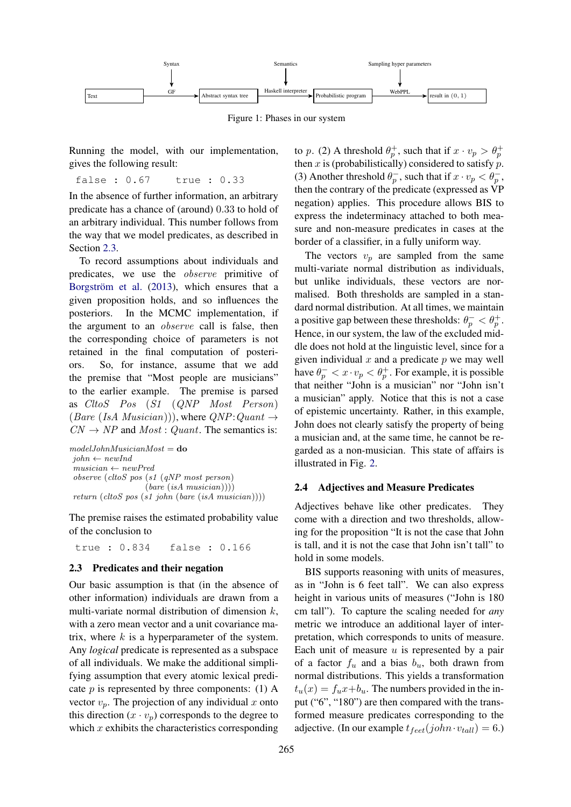<span id="page-2-0"></span>

Figure 1: Phases in our system

Running the model, with our implementation, gives the following result:

false : 0.67 true : 0.33

In the absence of further information, an arbitrary predicate has a chance of (around) 0.33 to hold of an arbitrary individual. This number follows from the way that we model predicates, as described in Section [2.3.](#page-2-1)

To record assumptions about individuals and predicates, we use the observe primitive of Borgström et al. [\(2013\)](#page-8-3), which ensures that a given proposition holds, and so influences the posteriors. In the MCMC implementation, if the argument to an observe call is false, then the corresponding choice of parameters is not retained in the final computation of posteriors. So, for instance, assume that we add the premise that "Most people are musicians" to the earlier example. The premise is parsed as CltoS Pos (S1 (QNP Most Person) (Bare (IsA Musician))), where  $QNP:Quant \rightarrow$  $CN \rightarrow NP$  and  $Most: Quant$ . The semantics is:

```
modelJohnMusicianMost =do
john \leftarrow newIndmusician \leftarrow newPredobserve (cltoS pos (s1 (qNP most person)
                    (bare (isA musician))))return (cltoS pos (s1 john (bare (isA musician))))
```
The premise raises the estimated probability value of the conclusion to

true : 0.834 false : 0.166

#### <span id="page-2-1"></span>2.3 Predicates and their negation

Our basic assumption is that (in the absence of other information) individuals are drawn from a multi-variate normal distribution of dimension  $k$ , with a zero mean vector and a unit covariance matrix, where  $k$  is a hyperparameter of the system. Any *logical* predicate is represented as a subspace of all individuals. We make the additional simplifying assumption that every atomic lexical predicate  $p$  is represented by three components: (1) A vector  $v_p$ . The projection of any individual x onto this direction  $(x \cdot v_p)$  corresponds to the degree to which  $x$  exhibits the characteristics corresponding

to p. (2) A threshold  $\theta_p^+$ , such that if  $x \cdot v_p > \theta_p^+$ then  $x$  is (probabilistically) considered to satisfy  $p$ . (3) Another threshold  $\theta_p^-$ , such that if  $x \cdot v_p < \theta_p^-$ , then the contrary of the predicate (expressed as VP negation) applies. This procedure allows BIS to express the indeterminacy attached to both measure and non-measure predicates in cases at the border of a classifier, in a fully uniform way.

The vectors  $v_p$  are sampled from the same multi-variate normal distribution as individuals, but unlike individuals, these vectors are normalised. Both thresholds are sampled in a standard normal distribution. At all times, we maintain a positive gap between these thresholds:  $\theta_p^- < \theta_p^+$ . Hence, in our system, the law of the excluded middle does not hold at the linguistic level, since for a given individual  $x$  and a predicate  $p$  we may well have  $\theta_p^- < x \cdot v_p < \theta_p^+$ . For example, it is possible that neither "John is a musician" nor "John isn't a musician" apply. Notice that this is not a case of epistemic uncertainty. Rather, in this example, John does not clearly satisfy the property of being a musician and, at the same time, he cannot be regarded as a non-musician. This state of affairs is illustrated in Fig. [2.](#page-3-1)

#### 2.4 Adjectives and Measure Predicates

Adjectives behave like other predicates. They come with a direction and two thresholds, allowing for the proposition "It is not the case that John is tall, and it is not the case that John isn't tall" to hold in some models.

BIS supports reasoning with units of measures, as in "John is 6 feet tall". We can also express height in various units of measures ("John is 180 cm tall"). To capture the scaling needed for *any* metric we introduce an additional layer of interpretation, which corresponds to units of measure. Each unit of measure  $u$  is represented by a pair of a factor  $f_u$  and a bias  $b_u$ , both drawn from normal distributions. This yields a transformation  $t_u(x) = f_u x + b_u$ . The numbers provided in the input ("6", "180") are then compared with the transformed measure predicates corresponding to the adjective. (In our example  $t_{feet}(john \cdot v_{tall}) = 6$ .)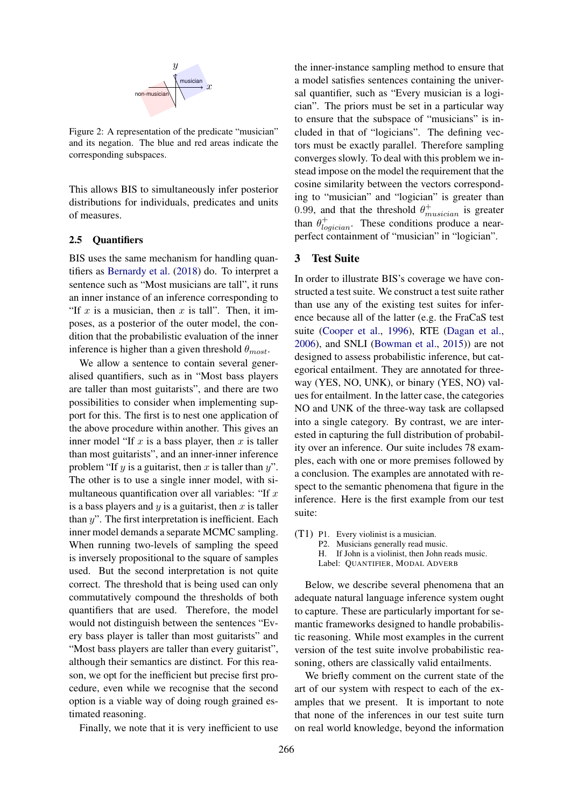<span id="page-3-1"></span>

Figure 2: A representation of the predicate "musician" and its negation. The blue and red areas indicate the corresponding subspaces.

This allows BIS to simultaneously infer posterior distributions for individuals, predicates and units of measures.

# 2.5 Quantifiers

BIS uses the same mechanism for handling quantifiers as [Bernardy et al.](#page-8-0) [\(2018\)](#page-8-0) do. To interpret a sentence such as "Most musicians are tall", it runs an inner instance of an inference corresponding to "If  $x$  is a musician, then  $x$  is tall". Then, it imposes, as a posterior of the outer model, the condition that the probabilistic evaluation of the inner inference is higher than a given threshold  $\theta_{most}$ .

We allow a sentence to contain several generalised quantifiers, such as in "Most bass players are taller than most guitarists", and there are two possibilities to consider when implementing support for this. The first is to nest one application of the above procedure within another. This gives an inner model "If  $x$  is a bass player, then  $x$  is taller than most guitarists", and an inner-inner inference problem "If y is a guitarist, then x is taller than  $y$ ". The other is to use a single inner model, with simultaneous quantification over all variables: "If  $x$ is a bass players and  $y$  is a guitarist, then  $x$  is taller than  $y$ ". The first interpretation is inefficient. Each inner model demands a separate MCMC sampling. When running two-levels of sampling the speed is inversely propositional to the square of samples used. But the second interpretation is not quite correct. The threshold that is being used can only commutatively compound the thresholds of both quantifiers that are used. Therefore, the model would not distinguish between the sentences "Every bass player is taller than most guitarists" and "Most bass players are taller than every guitarist", although their semantics are distinct. For this reason, we opt for the inefficient but precise first procedure, even while we recognise that the second option is a viable way of doing rough grained estimated reasoning.

Finally, we note that it is very inefficient to use

the inner-instance sampling method to ensure that a model satisfies sentences containing the universal quantifier, such as "Every musician is a logician". The priors must be set in a particular way to ensure that the subspace of "musicians" is included in that of "logicians". The defining vectors must be exactly parallel. Therefore sampling converges slowly. To deal with this problem we instead impose on the model the requirement that the cosine similarity between the vectors corresponding to "musician" and "logician" is greater than 0.99, and that the threshold  $\theta_{musician}^{+}$  is greater than  $\theta_{logician}^+$ . These conditions produce a nearperfect containment of "musician" in "logician".

# <span id="page-3-0"></span>3 Test Suite

In order to illustrate BIS's coverage we have constructed a test suite. We construct a test suite rather than use any of the existing test suites for inference because all of the latter (e.g. the FraCaS test suite [\(Cooper et al.,](#page-8-5) [1996\)](#page-8-5), RTE [\(Dagan et al.,](#page-8-6) [2006\)](#page-8-6), and SNLI [\(Bowman et al.,](#page-8-7) [2015\)](#page-8-7)) are not designed to assess probabilistic inference, but categorical entailment. They are annotated for threeway (YES, NO, UNK), or binary (YES, NO) values for entailment. In the latter case, the categories NO and UNK of the three-way task are collapsed into a single category. By contrast, we are interested in capturing the full distribution of probability over an inference. Our suite includes 78 examples, each with one or more premises followed by a conclusion. The examples are annotated with respect to the semantic phenomena that figure in the inference. Here is the first example from our test suite:

(T1) P1. Every violinist is a musician. P2. Musicians generally read music. H. If John is a violinist, then John reads music. Label: QUANTIFIER, MODAL ADVERB

Below, we describe several phenomena that an adequate natural language inference system ought to capture. These are particularly important for semantic frameworks designed to handle probabilistic reasoning. While most examples in the current version of the test suite involve probabilistic reasoning, others are classically valid entailments.

We briefly comment on the current state of the art of our system with respect to each of the examples that we present. It is important to note that none of the inferences in our test suite turn on real world knowledge, beyond the information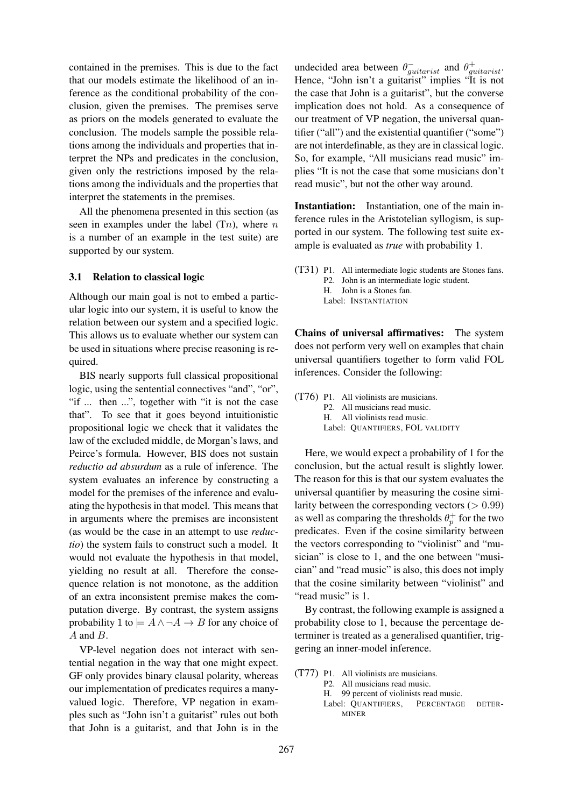contained in the premises. This is due to the fact that our models estimate the likelihood of an inference as the conditional probability of the conclusion, given the premises. The premises serve as priors on the models generated to evaluate the conclusion. The models sample the possible relations among the individuals and properties that interpret the NPs and predicates in the conclusion, given only the restrictions imposed by the relations among the individuals and the properties that interpret the statements in the premises.

All the phenomena presented in this section (as seen in examples under the label  $(Tn)$ , where n is a number of an example in the test suite) are supported by our system.

## 3.1 Relation to classical logic

Although our main goal is not to embed a particular logic into our system, it is useful to know the relation between our system and a specified logic. This allows us to evaluate whether our system can be used in situations where precise reasoning is required.

BIS nearly supports full classical propositional logic, using the sentential connectives "and", "or", "if ... then ...", together with "it is not the case that". To see that it goes beyond intuitionistic propositional logic we check that it validates the law of the excluded middle, de Morgan's laws, and Peirce's formula. However, BIS does not sustain *reductio ad absurdum* as a rule of inference. The system evaluates an inference by constructing a model for the premises of the inference and evaluating the hypothesis in that model. This means that in arguments where the premises are inconsistent (as would be the case in an attempt to use *reductio*) the system fails to construct such a model. It would not evaluate the hypothesis in that model, yielding no result at all. Therefore the consequence relation is not monotone, as the addition of an extra inconsistent premise makes the computation diverge. By contrast, the system assigns probability 1 to  $\models A \land \neg A \rightarrow B$  for any choice of A and B.

VP-level negation does not interact with sentential negation in the way that one might expect. GF only provides binary clausal polarity, whereas our implementation of predicates requires a manyvalued logic. Therefore, VP negation in examples such as "John isn't a guitarist" rules out both that John is a guitarist, and that John is in the

undecided area between  $\theta_{guitarist}^-$  and  $\theta_{guitarist}^+$ . Hence, "John isn't a guitarist" implies "It is not the case that John is a guitarist", but the converse implication does not hold. As a consequence of our treatment of VP negation, the universal quantifier ("all") and the existential quantifier ("some") are not interdefinable, as they are in classical logic. So, for example, "All musicians read music" implies "It is not the case that some musicians don't read music", but not the other way around.

Instantiation: Instantiation, one of the main inference rules in the Aristotelian syllogism, is supported in our system. The following test suite example is evaluated as *true* with probability 1.

(T31) P1. All intermediate logic students are Stones fans. P2. John is an intermediate logic student. H. John is a Stones fan. Label: INSTANTIATION

Chains of universal affirmatives: The system does not perform very well on examples that chain universal quantifiers together to form valid FOL inferences. Consider the following:

(T76) P1. All violinists are musicians. P2. All musicians read music. H. All violinists read music. Label: QUANTIFIERS, FOL VALIDITY

Here, we would expect a probability of 1 for the conclusion, but the actual result is slightly lower. The reason for this is that our system evaluates the universal quantifier by measuring the cosine similarity between the corresponding vectors  $(> 0.99)$ as well as comparing the thresholds  $\theta_p^+$  for the two predicates. Even if the cosine similarity between the vectors corresponding to "violinist" and "musician" is close to 1, and the one between "musician" and "read music" is also, this does not imply that the cosine similarity between "violinist" and "read music" is 1.

By contrast, the following example is assigned a probability close to 1, because the percentage determiner is treated as a generalised quantifier, triggering an inner-model inference.

(T77) P1. All violinists are musicians. P2. All musicians read music. H. 99 percent of violinists read music. Label: QUANTIFIERS, PERCENTAGE DETER-MINER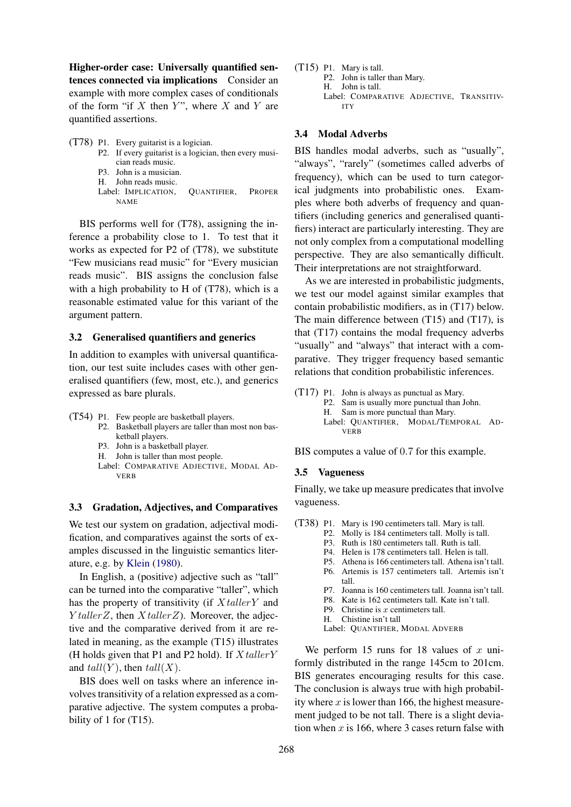Higher-order case: Universally quantified sentences connected via implications Consider an example with more complex cases of conditionals of the form "if  $X$  then  $Y$ ", where  $X$  and  $Y$  are quantified assertions.

(T78) P1. Every guitarist is a logician. P2. If every guitarist is a logician, then every musician reads music. P3. John is a musician. H. John reads music. Label: IMPLICATION, QUANTIFIER, PROPER NAME

BIS performs well for (T78), assigning the inference a probability close to 1. To test that it works as expected for P2 of (T78), we substitute "Few musicians read music" for "Every musician reads music". BIS assigns the conclusion false with a high probability to H of (T78), which is a reasonable estimated value for this variant of the argument pattern.

#### 3.2 Generalised quantifiers and generics

In addition to examples with universal quantification, our test suite includes cases with other generalised quantifiers (few, most, etc.), and generics expressed as bare plurals.

- (T54) P1. Few people are basketball players.
	- P2. Basketball players are taller than most non basketball players.
	- P3. John is a basketball player.
	- H. John is taller than most people.
	- Label: COMPARATIVE ADJECTIVE, MODAL AD-VERB

## 3.3 Gradation, Adjectives, and Comparatives

We test our system on gradation, adjectival modification, and comparatives against the sorts of examples discussed in the linguistic semantics literature, e.g. by [Klein](#page-9-3) [\(1980\)](#page-9-3).

In English, a (positive) adjective such as "tall" can be turned into the comparative "taller", which has the property of transitivity (if  $XtallerY$  and  $Y taller Z$ , then  $X taller Z$ ). Moreover, the adjective and the comparative derived from it are related in meaning, as the example (T15) illustrates (H holds given that P1 and P2 hold). If  $X \text{tallerY}$ and  $tall(Y)$ , then  $tall(X)$ .

BIS does well on tasks where an inference involves transitivity of a relation expressed as a comparative adjective. The system computes a probability of 1 for (T15).

(T15) P1. Mary is tall. P2. John is taller than Mary. H. John is tall. Label: COMPARATIVE ADJECTIVE, TRANSITIV-ITY

#### 3.4 Modal Adverbs

BIS handles modal adverbs, such as "usually", "always", "rarely" (sometimes called adverbs of frequency), which can be used to turn categorical judgments into probabilistic ones. Examples where both adverbs of frequency and quantifiers (including generics and generalised quantifiers) interact are particularly interesting. They are not only complex from a computational modelling perspective. They are also semantically difficult. Their interpretations are not straightforward.

As we are interested in probabilistic judgments, we test our model against similar examples that contain probabilistic modifiers, as in (T17) below. The main difference between (T15) and (T17), is that (T17) contains the modal frequency adverbs "usually" and "always" that interact with a comparative. They trigger frequency based semantic relations that condition probabilistic inferences.

- (T17) P1. John is always as punctual as Mary.
	- P2. Sam is usually more punctual than John.
	- H. Sam is more punctual than Mary. Label: QUANTIFIER, MODAL/TEMPORAL AD-

BIS computes a value of 0.7 for this example.

## 3.5 Vagueness

VERB

Finally, we take up measure predicates that involve vagueness.

- (T38) P1. Mary is 190 centimeters tall. Mary is tall.
	- P2. Molly is 184 centimeters tall. Molly is tall.
	- P3. Ruth is 180 centimeters tall. Ruth is tall.
	- P4. Helen is 178 centimeters tall. Helen is tall.
	- P5. Athena is 166 centimeters tall. Athena isn't tall.
	- P6. Artemis is 157 centimeters tall. Artemis isn't tall.
	- P7. Joanna is 160 centimeters tall. Joanna isn't tall.
	- P8. Kate is 162 centimeters tall. Kate isn't tall.
	- P9. Christine is  $x$  centimeters tall.
	- H. Chistine isn't tall

Label: QUANTIFIER, MODAL ADVERB

We perform 15 runs for 18 values of  $x$  uniformly distributed in the range 145cm to 201cm. BIS generates encouraging results for this case. The conclusion is always true with high probability where  $x$  is lower than 166, the highest measurement judged to be not tall. There is a slight deviation when  $x$  is 166, where 3 cases return false with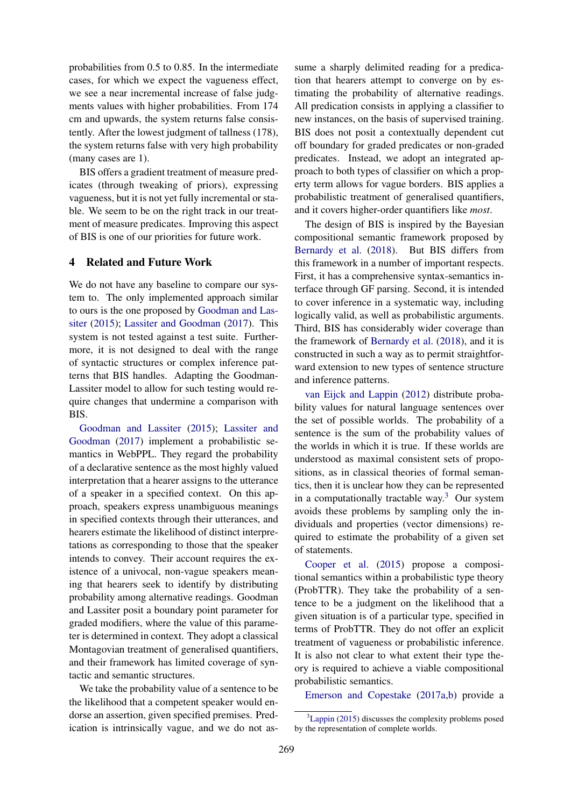probabilities from 0.5 to 0.85. In the intermediate cases, for which we expect the vagueness effect, we see a near incremental increase of false judgments values with higher probabilities. From 174 cm and upwards, the system returns false consistently. After the lowest judgment of tallness (178), the system returns false with very high probability (many cases are 1).

BIS offers a gradient treatment of measure predicates (through tweaking of priors), expressing vagueness, but it is not yet fully incremental or stable. We seem to be on the right track in our treatment of measure predicates. Improving this aspect of BIS is one of our priorities for future work.

# <span id="page-6-0"></span>4 Related and Future Work

We do not have any baseline to compare our system to. The only implemented approach similar to ours is the one proposed by [Goodman and Las](#page-8-8)[siter](#page-8-8) [\(2015\)](#page-8-8); [Lassiter and Goodman](#page-9-4) [\(2017\)](#page-9-4). This system is not tested against a test suite. Furthermore, it is not designed to deal with the range of syntactic structures or complex inference patterns that BIS handles. Adapting the Goodman-Lassiter model to allow for such testing would require changes that undermine a comparison with BIS.

[Goodman and Lassiter](#page-8-8) [\(2015\)](#page-8-8); [Lassiter and](#page-9-4) [Goodman](#page-9-4) [\(2017\)](#page-9-4) implement a probabilistic semantics in WebPPL. They regard the probability of a declarative sentence as the most highly valued interpretation that a hearer assigns to the utterance of a speaker in a specified context. On this approach, speakers express unambiguous meanings in specified contexts through their utterances, and hearers estimate the likelihood of distinct interpretations as corresponding to those that the speaker intends to convey. Their account requires the existence of a univocal, non-vague speakers meaning that hearers seek to identify by distributing probability among alternative readings. Goodman and Lassiter posit a boundary point parameter for graded modifiers, where the value of this parameter is determined in context. They adopt a classical Montagovian treatment of generalised quantifiers, and their framework has limited coverage of syntactic and semantic structures.

We take the probability value of a sentence to be the likelihood that a competent speaker would endorse an assertion, given specified premises. Predication is intrinsically vague, and we do not assume a sharply delimited reading for a predication that hearers attempt to converge on by estimating the probability of alternative readings. All predication consists in applying a classifier to new instances, on the basis of supervised training. BIS does not posit a contextually dependent cut off boundary for graded predicates or non-graded predicates. Instead, we adopt an integrated approach to both types of classifier on which a property term allows for vague borders. BIS applies a probabilistic treatment of generalised quantifiers, and it covers higher-order quantifiers like *most*.

The design of BIS is inspired by the Bayesian compositional semantic framework proposed by [Bernardy et al.](#page-8-0) [\(2018\)](#page-8-0). But BIS differs from this framework in a number of important respects. First, it has a comprehensive syntax-semantics interface through GF parsing. Second, it is intended to cover inference in a systematic way, including logically valid, as well as probabilistic arguments. Third, BIS has considerably wider coverage than the framework of [Bernardy et al.](#page-8-0) [\(2018\)](#page-8-0), and it is constructed in such a way as to permit straightforward extension to new types of sentence structure and inference patterns.

[van Eijck and Lappin](#page-9-5) [\(2012\)](#page-9-5) distribute probability values for natural language sentences over the set of possible worlds. The probability of a sentence is the sum of the probability values of the worlds in which it is true. If these worlds are understood as maximal consistent sets of propositions, as in classical theories of formal semantics, then it is unclear how they can be represented in a computationally tractable way.<sup>[3](#page-6-1)</sup> Our system avoids these problems by sampling only the individuals and properties (vector dimensions) required to estimate the probability of a given set of statements.

[Cooper et al.](#page-8-9) [\(2015\)](#page-8-9) propose a compositional semantics within a probabilistic type theory (ProbTTR). They take the probability of a sentence to be a judgment on the likelihood that a given situation is of a particular type, specified in terms of ProbTTR. They do not offer an explicit treatment of vagueness or probabilistic inference. It is also not clear to what extent their type theory is required to achieve a viable compositional probabilistic semantics.

[Emerson and Copestake](#page-8-10) [\(2017a,](#page-8-10)[b\)](#page-8-11) provide a

<span id="page-6-1"></span> ${}^{3}$ [Lappin](#page-9-6) [\(2015\)](#page-9-6) discusses the complexity problems posed by the representation of complete worlds.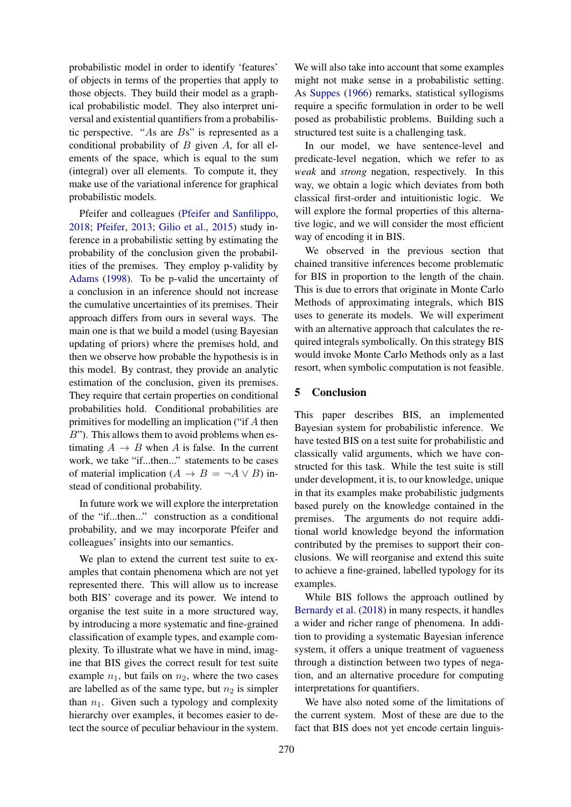probabilistic model in order to identify 'features' of objects in terms of the properties that apply to those objects. They build their model as a graphical probabilistic model. They also interpret universal and existential quantifiers from a probabilistic perspective. "As are Bs" is represented as a conditional probability of  $B$  given  $A$ , for all elements of the space, which is equal to the sum (integral) over all elements. To compute it, they make use of the variational inference for graphical probabilistic models.

Pfeifer and colleagues [\(Pfeifer and Sanfilippo,](#page-9-7) [2018;](#page-9-7) [Pfeifer,](#page-9-8) [2013;](#page-9-8) [Gilio et al.,](#page-8-12) [2015\)](#page-8-12) study inference in a probabilistic setting by estimating the probability of the conclusion given the probabilities of the premises. They employ p-validity by [Adams](#page-8-13) [\(1998\)](#page-8-13). To be p-valid the uncertainty of a conclusion in an inference should not increase the cumulative uncertainties of its premises. Their approach differs from ours in several ways. The main one is that we build a model (using Bayesian updating of priors) where the premises hold, and then we observe how probable the hypothesis is in this model. By contrast, they provide an analytic estimation of the conclusion, given its premises. They require that certain properties on conditional probabilities hold. Conditional probabilities are primitives for modelling an implication ("if A then  $B$ "). This allows them to avoid problems when estimating  $A \rightarrow B$  when A is false. In the current work, we take "if...then..." statements to be cases of material implication ( $A \rightarrow B = \neg A \lor B$ ) instead of conditional probability.

In future work we will explore the interpretation of the "if...then..." construction as a conditional probability, and we may incorporate Pfeifer and colleagues' insights into our semantics.

We plan to extend the current test suite to examples that contain phenomena which are not yet represented there. This will allow us to increase both BIS' coverage and its power. We intend to organise the test suite in a more structured way, by introducing a more systematic and fine-grained classification of example types, and example complexity. To illustrate what we have in mind, imagine that BIS gives the correct result for test suite example  $n_1$ , but fails on  $n_2$ , where the two cases are labelled as of the same type, but  $n_2$  is simpler than  $n_1$ . Given such a typology and complexity hierarchy over examples, it becomes easier to detect the source of peculiar behaviour in the system.

We will also take into account that some examples might not make sense in a probabilistic setting. As [Suppes](#page-9-9) [\(1966\)](#page-9-9) remarks, statistical syllogisms require a specific formulation in order to be well posed as probabilistic problems. Building such a structured test suite is a challenging task.

In our model, we have sentence-level and predicate-level negation, which we refer to as *weak* and *strong* negation, respectively. In this way, we obtain a logic which deviates from both classical first-order and intuitionistic logic. We will explore the formal properties of this alternative logic, and we will consider the most efficient way of encoding it in BIS.

We observed in the previous section that chained transitive inferences become problematic for BIS in proportion to the length of the chain. This is due to errors that originate in Monte Carlo Methods of approximating integrals, which BIS uses to generate its models. We will experiment with an alternative approach that calculates the required integrals symbolically. On this strategy BIS would invoke Monte Carlo Methods only as a last resort, when symbolic computation is not feasible.

## <span id="page-7-0"></span>5 Conclusion

This paper describes BIS, an implemented Bayesian system for probabilistic inference. We have tested BIS on a test suite for probabilistic and classically valid arguments, which we have constructed for this task. While the test suite is still under development, it is, to our knowledge, unique in that its examples make probabilistic judgments based purely on the knowledge contained in the premises. The arguments do not require additional world knowledge beyond the information contributed by the premises to support their conclusions. We will reorganise and extend this suite to achieve a fine-grained, labelled typology for its examples.

While BIS follows the approach outlined by [Bernardy et al.](#page-8-0) [\(2018\)](#page-8-0) in many respects, it handles a wider and richer range of phenomena. In addition to providing a systematic Bayesian inference system, it offers a unique treatment of vagueness through a distinction between two types of negation, and an alternative procedure for computing interpretations for quantifiers.

We have also noted some of the limitations of the current system. Most of these are due to the fact that BIS does not yet encode certain linguis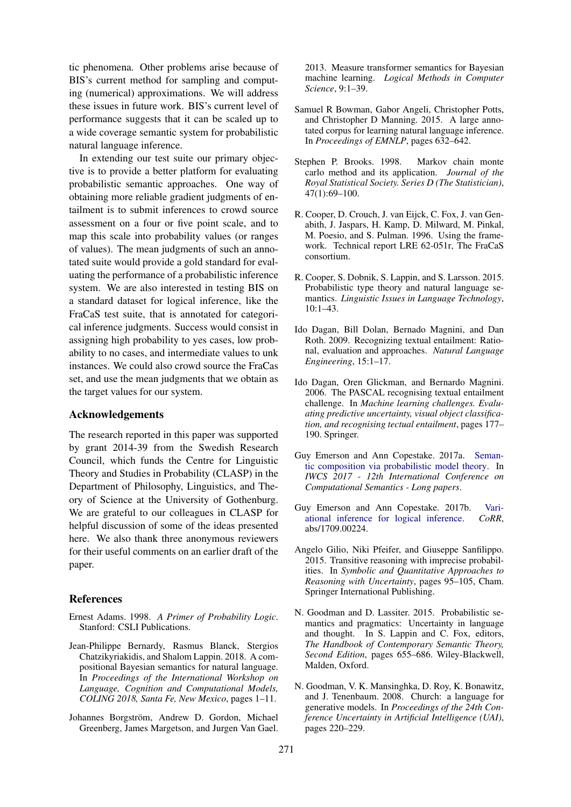tic phenomena. Other problems arise because of BIS's current method for sampling and computing (numerical) approximations. We will address these issues in future work. BIS's current level of performance suggests that it can be scaled up to a wide coverage semantic system for probabilistic natural language inference.

In extending our test suite our primary objective is to provide a better platform for evaluating probabilistic semantic approaches. One way of obtaining more reliable gradient judgments of entailment is to submit inferences to crowd source assessment on a four or five point scale, and to map this scale into probability values (or ranges of values). The mean judgments of such an annotated suite would provide a gold standard for evaluating the performance of a probabilistic inference system. We are also interested in testing BIS on a standard dataset for logical inference, like the FraCaS test suite, that is annotated for categorical inference judgments. Success would consist in assigning high probability to yes cases, low probability to no cases, and intermediate values to unk instances. We could also crowd source the FraCas set, and use the mean judgments that we obtain as the target values for our system.

#### Acknowledgements

The research reported in this paper was supported by grant 2014-39 from the Swedish Research Council, which funds the Centre for Linguistic Theory and Studies in Probability (CLASP) in the Department of Philosophy, Linguistics, and Theory of Science at the University of Gothenburg. We are grateful to our colleagues in CLASP for helpful discussion of some of the ideas presented here. We also thank three anonymous reviewers for their useful comments on an earlier draft of the paper.

#### References

- <span id="page-8-13"></span>Ernest Adams. 1998. *A Primer of Probability Logic*. Stanford: CSLI Publications.
- <span id="page-8-0"></span>Jean-Philippe Bernardy, Rasmus Blanck, Stergios Chatzikyriakidis, and Shalom Lappin. 2018. A compositional Bayesian semantics for natural language. In *Proceedings of the International Workshop on Language, Cognition and Computational Models, COLING 2018, Santa Fe, New Mexico*, pages 1–11.
- <span id="page-8-3"></span>Johannes Borgström, Andrew D. Gordon, Michael Greenberg, James Margetson, and Jurgen Van Gael.

2013. Measure transformer semantics for Bayesian machine learning. *Logical Methods in Computer Science*, 9:1–39.

- <span id="page-8-7"></span>Samuel R Bowman, Gabor Angeli, Christopher Potts, and Christopher D Manning. 2015. A large annotated corpus for learning natural language inference. In *Proceedings of EMNLP*, pages 632–642.
- <span id="page-8-2"></span>Stephen P. Brooks. 1998. Markov chain monte carlo method and its application. *Journal of the Royal Statistical Society. Series D (The Statistician)*, 47(1):69–100.
- <span id="page-8-5"></span>R. Cooper, D. Crouch, J. van Eijck, C. Fox, J. van Genabith, J. Jaspars, H. Kamp, D. Milward, M. Pinkal, M. Poesio, and S. Pulman. 1996. Using the framework. Technical report LRE 62-051r, The FraCaS consortium.
- <span id="page-8-9"></span>R. Cooper, S. Dobnik, S. Lappin, and S. Larsson. 2015. Probabilistic type theory and natural language semantics. *Linguistic Issues in Language Technology*, 10:1–43.
- <span id="page-8-1"></span>Ido Dagan, Bill Dolan, Bernado Magnini, and Dan Roth. 2009. Recognizing textual entailment: Rational, evaluation and approaches. *Natural Language Engineering*, 15:1–17.
- <span id="page-8-6"></span>Ido Dagan, Oren Glickman, and Bernardo Magnini. 2006. The PASCAL recognising textual entailment challenge. In *Machine learning challenges. Evaluating predictive uncertainty, visual object classification, and recognising tectual entailment*, pages 177– 190. Springer.
- <span id="page-8-10"></span>Guy Emerson and Ann Copestake. 2017a. [Seman](http://aclweb.org/anthology/W17-6806)[tic composition via probabilistic model theory.](http://aclweb.org/anthology/W17-6806) In *IWCS 2017 - 12th International Conference on Computational Semantics - Long papers*.
- <span id="page-8-11"></span>Guy Emerson and Ann Copestake. 2017b. [Vari](http://arxiv.org/abs/1709.00224)[ational inference for logical inference.](http://arxiv.org/abs/1709.00224) *CoRR*, abs/1709.00224.
- <span id="page-8-12"></span>Angelo Gilio, Niki Pfeifer, and Giuseppe Sanfilippo. 2015. Transitive reasoning with imprecise probabilities. In *Symbolic and Quantitative Approaches to Reasoning with Uncertainty*, pages 95–105, Cham. Springer International Publishing.
- <span id="page-8-8"></span>N. Goodman and D. Lassiter. 2015. Probabilistic semantics and pragmatics: Uncertainty in language and thought. In S. Lappin and C. Fox, editors, *The Handbook of Contemporary Semantic Theory, Second Edition*, pages 655–686. Wiley-Blackwell, Malden, Oxford.
- <span id="page-8-4"></span>N. Goodman, V. K. Mansinghka, D. Roy, K. Bonawitz, and J. Tenenbaum. 2008. Church: a language for generative models. In *Proceedings of the 24th Conference Uncertainty in Artificial Intelligence (UAI)*, pages 220–229.